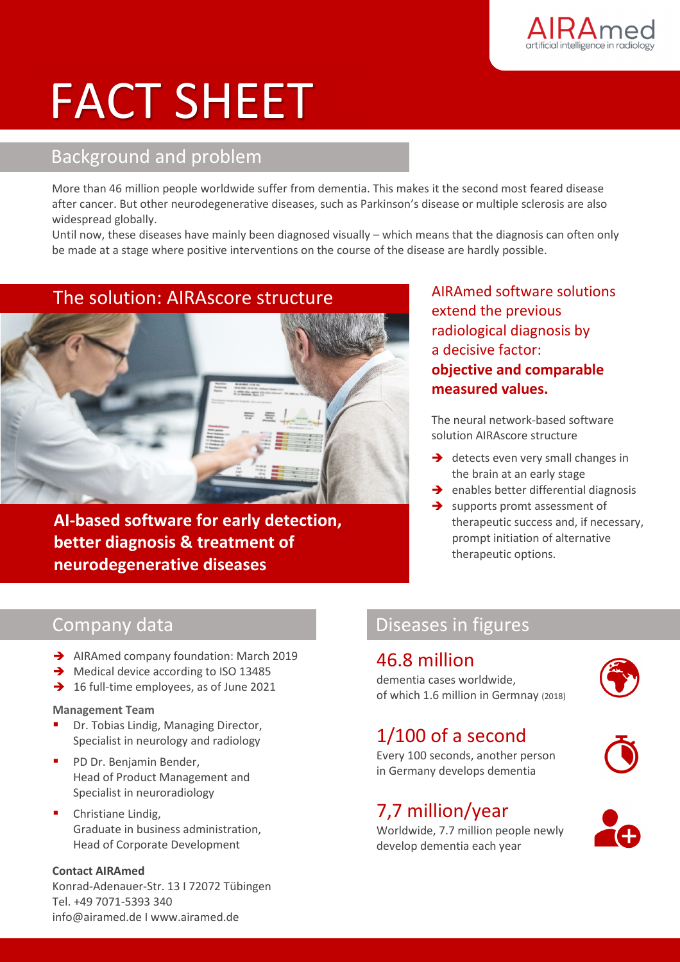

# FACT SHEET

# Background and problem

More than 46 million people worldwide suffer from dementia. This makes it the second most feared disease after cancer. But other neurodegenerative diseases, such as Parkinson's disease or multiple sclerosis are also widespread globally.

Until now, these diseases have mainly been diagnosed visually – which means that the diagnosis can often only be made at a stage where positive interventions on the course of the disease are hardly possible.

# The solution: AIRAscore structure



**AI-based software for early detection, better diagnosis & treatment of neurodegenerative diseases** 

AIRAmed software solutions extend the previous radiological diagnosis by a decisive factor: **objective and comparable measured values.**

The neural network-based software solution AIRAscore structure

- $\rightarrow$  detects even very small changes in the brain at an early stage
- $\rightarrow$  enables better differential diagnosis
- $\rightarrow$  supports promt assessment of therapeutic success and, if necessary, prompt initiation of alternative therapeutic options.

# Company data

- AIRAmed company foundation: March 2019
- $\rightarrow$  Medical device according to ISO 13485
- $\rightarrow$  16 full-time employees, as of June 2021

### **Management Team**

- Dr. Tobias Lindig, Managing Director, Specialist in neurology and radiology
- PD Dr. Benjamin Bender, Head of Product Management and Specialist in neuroradiology
- Christiane Lindig, Graduate in business administration, Head of Corporate Development

### **Contact AIRAmed**

Konrad-Adenauer-Str. 13 I 72072 Tübingen Tel. +49 7071-5393 340 info@airamed.de I www.airamed.de

# Diseases in figures

## 46.8 million

dementia cases worldwide, of which 1.6 million in Germnay (2018)

# 1/100 of a second

Every 100 seconds, another person in Germany develops dementia

# 7,7 million/year

Worldwide, 7.7 million people newly develop dementia each year